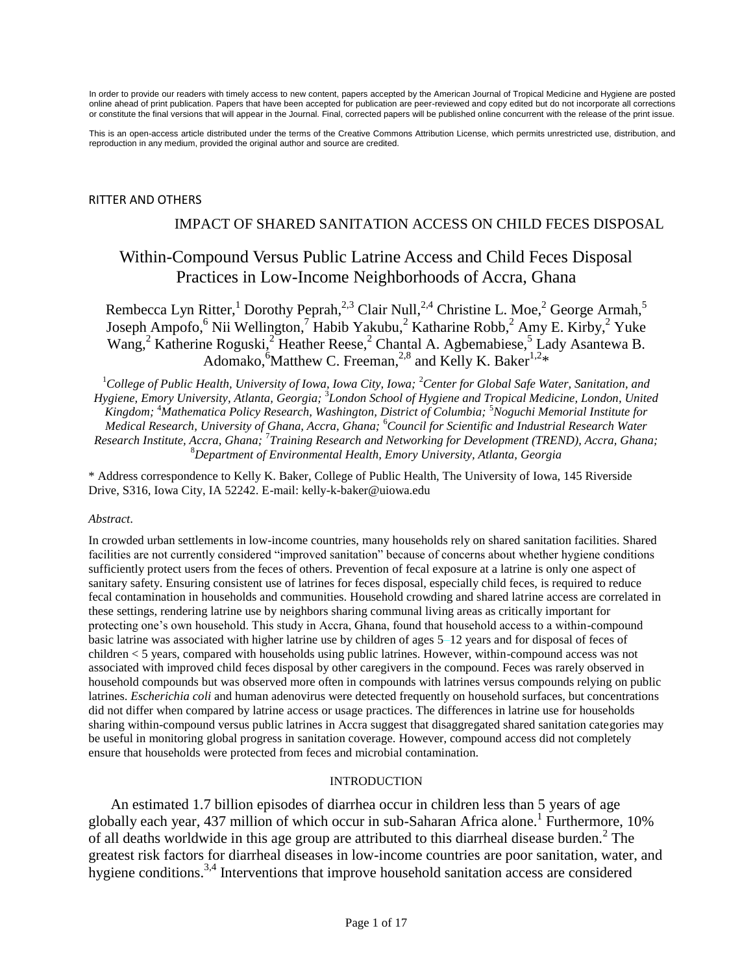In order to provide our readers with timely access to new content, papers accepted by the American Journal of Tropical Medicine and Hygiene are posted online ahead of print publication. Papers that have been accepted for publication are peer-reviewed and copy edited but do not incorporate all corrections or constitute the final versions that will appear in the Journal. Final, corrected papers will be published online concurrent with the release of the print issue.

This is an open-access article distributed under the terms of the Creative Commons Attribution License, which permits unrestricted use, distribution, and reproduction in any medium, provided the original author and source are credited.

#### RITTER AND OTHERS

### IMPACT OF SHARED SANITATION ACCESS ON CHILD FECES DISPOSAL

# Within-Compound Versus Public Latrine Access and Child Feces Disposal Practices in Low-Income Neighborhoods of Accra, Ghana

Rembecca Lyn Ritter,<sup>1</sup> Dorothy Peprah,<sup>2,3</sup> Clair Null,<sup>2,4</sup> Christine L. Moe,<sup>2</sup> George Armah,<sup>5</sup> Joseph Ampofo,<sup>6</sup> Nii Wellington,<sup>7</sup> Habib Yakubu,<sup>2</sup> Katharine Robb,<sup>2</sup> Amy E. Kirby,<sup>2</sup> Yuke Wang,<sup>2</sup> Katherine Roguski,<sup>2</sup> Heather Reese,<sup>2</sup> Chantal A. Agbemabiese,<sup>5</sup> Lady Asantewa B. Adomako, <sup>6</sup>Matthew C. Freeman, <sup>2,8</sup> and Kelly K. Baker<sup>1,2\*</sup>

<sup>1</sup>*College of Public Health, University of Iowa, Iowa City, Iowa;* <sup>2</sup>*Center for Global Safe Water, Sanitation, and Hygiene, Emory University, Atlanta, Georgia;*  3 *London School of Hygiene and Tropical Medicine, London, United Kingdom;* <sup>4</sup>*Mathematica Policy Research, Washington, District of Columbia;* <sup>5</sup>*Noguchi Memorial Institute for Medical Research, University of Ghana, Accra, Ghana;* <sup>6</sup>*Council for Scientific and Industrial Research Water Research Institute, Accra, Ghana;* <sup>7</sup> *Training Research and Networking for Development (TREND), Accra, Ghana;*  <sup>8</sup>*Department of Environmental Health, Emory University, Atlanta, Georgia*

\* Address correspondence to Kelly K. Baker, College of Public Health, The University of Iowa, 145 Riverside Drive, S316, Iowa City, IA 52242. E-mail: kelly-k-baker@uiowa.edu

#### *Abstract*.

In crowded urban settlements in low-income countries, many households rely on shared sanitation facilities. Shared facilities are not currently considered "improved sanitation" because of concerns about whether hygiene conditions sufficiently protect users from the feces of others. Prevention of fecal exposure at a latrine is only one aspect of sanitary safety. Ensuring consistent use of latrines for feces disposal, especially child feces, is required to reduce fecal contamination in households and communities. Household crowding and shared latrine access are correlated in these settings, rendering latrine use by neighbors sharing communal living areas as critically important for protecting one's own household. This study in Accra, Ghana, found that household access to a within-compound basic latrine was associated with higher latrine use by children of ages 5–12 years and for disposal of feces of children < 5 years, compared with households using public latrines. However, within-compound access was not associated with improved child feces disposal by other caregivers in the compound. Feces was rarely observed in household compounds but was observed more often in compounds with latrines versus compounds relying on public latrines. *Escherichia coli* and human adenovirus were detected frequently on household surfaces, but concentrations did not differ when compared by latrine access or usage practices. The differences in latrine use for households sharing within-compound versus public latrines in Accra suggest that disaggregated shared sanitation categories may be useful in monitoring global progress in sanitation coverage. However, compound access did not completely ensure that households were protected from feces and microbial contamination.

#### INTRODUCTION

An estimated 1.7 billion episodes of diarrhea occur in children less than 5 years of age globally each year, 437 million of which occur in sub-Saharan Africa alone.<sup>1</sup> Furthermore, 10% of all deaths worldwide in this age group are attributed to this diarrheal disease burden.<sup>2</sup> The greatest risk factors for diarrheal diseases in low-income countries are poor sanitation, water, and hygiene conditions.<sup>3,4</sup> Interventions that improve household sanitation access are considered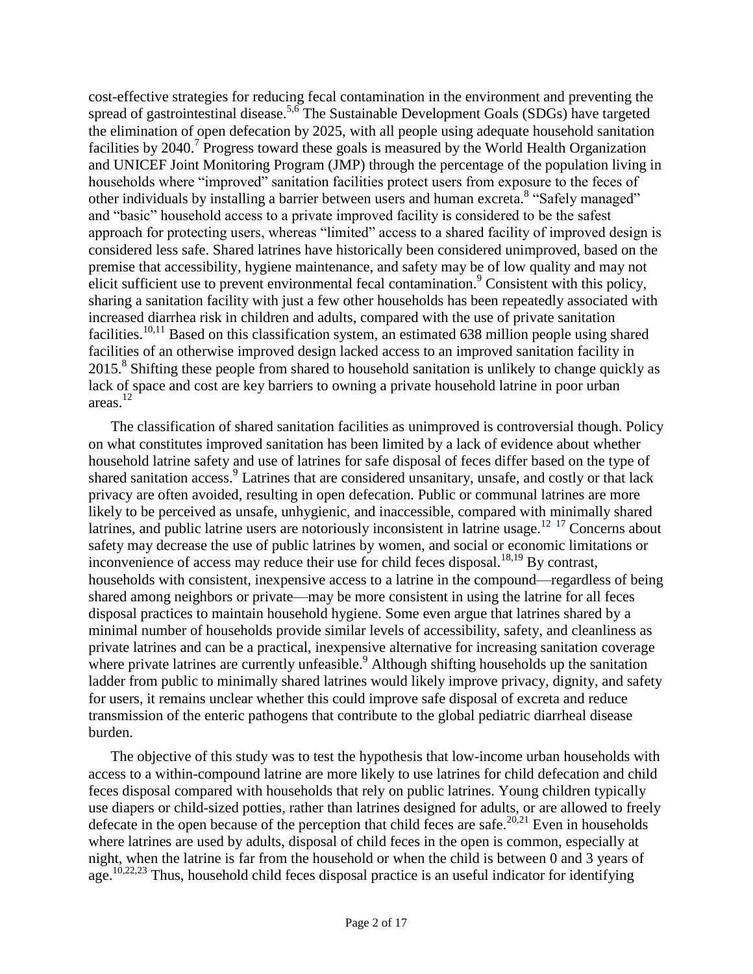cost-effective strategies for reducing fecal contamination in the environment and preventing the spread of gastrointestinal disease.<sup>5,6</sup> The Sustainable Development Goals (SDGs) have targeted the elimination of open defecation by 2025, with all people using adequate household sanitation facilities by 2040.<sup>7</sup> Progress toward these goals is measured by the World Health Organization and UNICEF Joint Monitoring Program (JMP) through the percentage of the population living in households where "improved" sanitation facilities protect users from exposure to the feces of other individuals by installing a barrier between users and human excreta.<sup>8</sup> "Safely managed" and "basic" household access to a private improved facility is considered to be the safest approach for protecting users, whereas "limited" access to a shared facility of improved design is considered less safe. Shared latrines have historically been considered unimproved, based on the premise that accessibility, hygiene maintenance, and safety may be of low quality and may not elicit sufficient use to prevent environmental fecal contamination. $\degree$  Consistent with this policy, sharing a sanitation facility with just a few other households has been repeatedly associated with increased diarrhea risk in children and adults, compared with the use of private sanitation facilities.<sup>10,11</sup> Based on this classification system, an estimated 638 million people using shared facilities of an otherwise improved design lacked access to an improved sanitation facility in 2015.<sup>8</sup> Shifting these people from shared to household sanitation is unlikely to change quickly as lack of space and cost are key barriers to owning a private household latrine in poor urban areas. 12

The classification of shared sanitation facilities as unimproved is controversial though. Policy on what constitutes improved sanitation has been limited by a lack of evidence about whether household latrine safety and use of latrines for safe disposal of feces differ based on the type of shared sanitation access.<sup>9</sup> Latrines that are considered unsanitary, unsafe, and costly or that lack privacy are often avoided, resulting in open defecation. Public or communal latrines are more likely to be perceived as unsafe, unhygienic, and inaccessible, compared with minimally shared latrines, and public latrine users are notoriously inconsistent in latrine usage.<sup>12–17</sup> Concerns about safety may decrease the use of public latrines by women, and social or economic limitations or inconvenience of access may reduce their use for child feces disposal.<sup>18,19</sup> By contrast, households with consistent, inexpensive access to a latrine in the compound—regardless of being shared among neighbors or private—may be more consistent in using the latrine for all feces disposal practices to maintain household hygiene. Some even argue that latrines shared by a minimal number of households provide similar levels of accessibility, safety, and cleanliness as private latrines and can be a practical, inexpensive alternative for increasing sanitation coverage where private latrines are currently unfeasible.<sup>9</sup> Although shifting households up the sanitation ladder from public to minimally shared latrines would likely improve privacy, dignity, and safety for users, it remains unclear whether this could improve safe disposal of excreta and reduce transmission of the enteric pathogens that contribute to the global pediatric diarrheal disease burden.

The objective of this study was to test the hypothesis that low-income urban households with access to a within-compound latrine are more likely to use latrines for child defecation and child feces disposal compared with households that rely on public latrines. Young children typically use diapers or child-sized potties, rather than latrines designed for adults, or are allowed to freely defecate in the open because of the perception that child feces are safe.<sup>20,21</sup> Even in households where latrines are used by adults, disposal of child feces in the open is common, especially at night, when the latrine is far from the household or when the child is between 0 and 3 years of age.<sup>10,22,23</sup> Thus, household child feces disposal practice is an useful indicator for identifying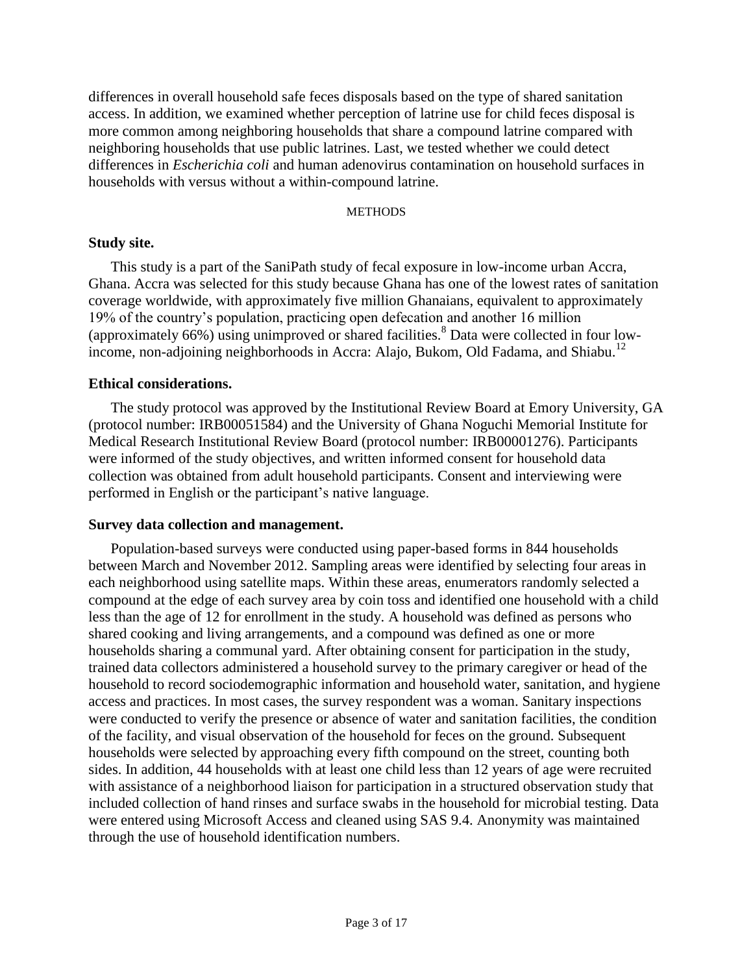differences in overall household safe feces disposals based on the type of shared sanitation access. In addition, we examined whether perception of latrine use for child feces disposal is more common among neighboring households that share a compound latrine compared with neighboring households that use public latrines. Last, we tested whether we could detect differences in *Escherichia coli* and human adenovirus contamination on household surfaces in households with versus without a within-compound latrine.

## **METHODS**

## **Study site.**

This study is a part of the SaniPath study of fecal exposure in low-income urban Accra, Ghana. Accra was selected for this study because Ghana has one of the lowest rates of sanitation coverage worldwide, with approximately five million Ghanaians, equivalent to approximately 19% of the country's population, practicing open defecation and another 16 million (approximately  $66\%$ ) using unimproved or shared facilities.<sup>8</sup> Data were collected in four lowincome, non-adjoining neighborhoods in Accra: Alajo, Bukom, Old Fadama, and Shiabu.<sup>12</sup>

## **Ethical considerations.**

The study protocol was approved by the Institutional Review Board at Emory University, GA (protocol number: IRB00051584) and the University of Ghana Noguchi Memorial Institute for Medical Research Institutional Review Board (protocol number: IRB00001276). Participants were informed of the study objectives, and written informed consent for household data collection was obtained from adult household participants. Consent and interviewing were performed in English or the participant's native language.

# **Survey data collection and management.**

Population-based surveys were conducted using paper-based forms in 844 households between March and November 2012. Sampling areas were identified by selecting four areas in each neighborhood using satellite maps. Within these areas, enumerators randomly selected a compound at the edge of each survey area by coin toss and identified one household with a child less than the age of 12 for enrollment in the study. A household was defined as persons who shared cooking and living arrangements, and a compound was defined as one or more households sharing a communal yard. After obtaining consent for participation in the study, trained data collectors administered a household survey to the primary caregiver or head of the household to record sociodemographic information and household water, sanitation, and hygiene access and practices. In most cases, the survey respondent was a woman. Sanitary inspections were conducted to verify the presence or absence of water and sanitation facilities, the condition of the facility, and visual observation of the household for feces on the ground. Subsequent households were selected by approaching every fifth compound on the street, counting both sides. In addition, 44 households with at least one child less than 12 years of age were recruited with assistance of a neighborhood liaison for participation in a structured observation study that included collection of hand rinses and surface swabs in the household for microbial testing. Data were entered using Microsoft Access and cleaned using SAS 9.4. Anonymity was maintained through the use of household identification numbers.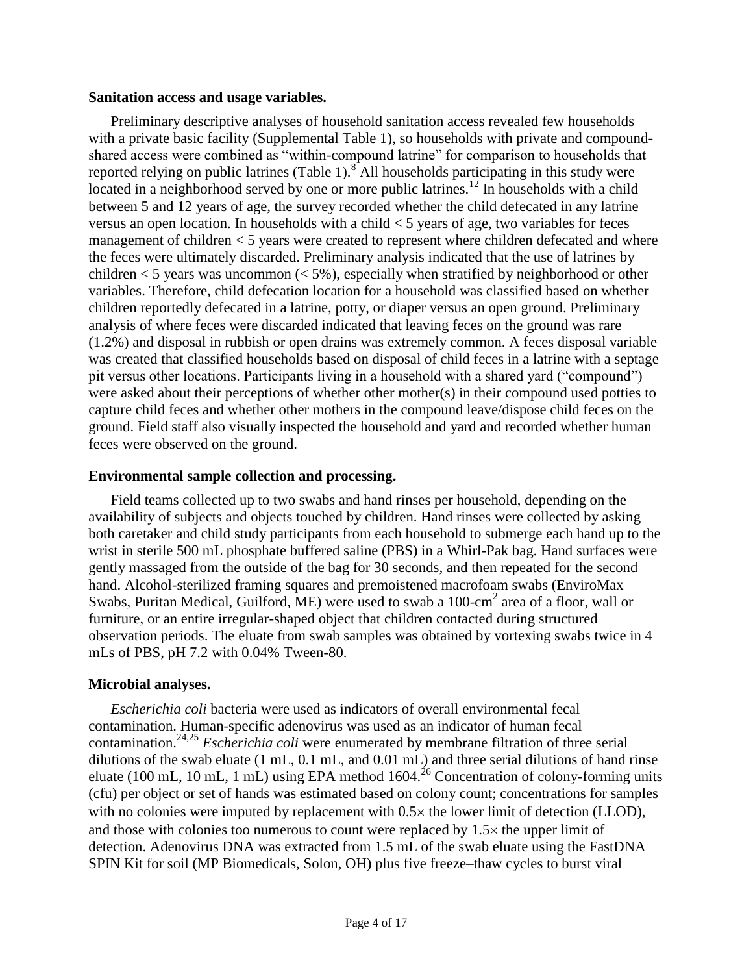## **Sanitation access and usage variables.**

Preliminary descriptive analyses of household sanitation access revealed few households with a private basic facility (Supplemental Table 1), so households with private and compoundshared access were combined as "within-compound latrine" for comparison to households that reported relying on public latrines  $(Table 1)$ .<sup>8</sup> All households participating in this study were located in a neighborhood served by one or more public latrines.<sup>12</sup> In households with a child between 5 and 12 years of age, the survey recorded whether the child defecated in any latrine versus an open location. In households with a child < 5 years of age, two variables for feces management of children < 5 years were created to represent where children defecated and where the feces were ultimately discarded. Preliminary analysis indicated that the use of latrines by children  $<$  5 years was uncommon  $(<$  5%), especially when stratified by neighborhood or other variables. Therefore, child defecation location for a household was classified based on whether children reportedly defecated in a latrine, potty, or diaper versus an open ground. Preliminary analysis of where feces were discarded indicated that leaving feces on the ground was rare (1.2%) and disposal in rubbish or open drains was extremely common. A feces disposal variable was created that classified households based on disposal of child feces in a latrine with a septage pit versus other locations. Participants living in a household with a shared yard ("compound") were asked about their perceptions of whether other mother(s) in their compound used potties to capture child feces and whether other mothers in the compound leave/dispose child feces on the ground. Field staff also visually inspected the household and yard and recorded whether human feces were observed on the ground.

# **Environmental sample collection and processing.**

Field teams collected up to two swabs and hand rinses per household, depending on the availability of subjects and objects touched by children. Hand rinses were collected by asking both caretaker and child study participants from each household to submerge each hand up to the wrist in sterile 500 mL phosphate buffered saline (PBS) in a Whirl-Pak bag. Hand surfaces were gently massaged from the outside of the bag for 30 seconds, and then repeated for the second hand. Alcohol-sterilized framing squares and premoistened macrofoam swabs (EnviroMax Swabs, Puritan Medical, Guilford, ME) were used to swab a 100-cm<sup>2</sup> area of a floor, wall or furniture, or an entire irregular-shaped object that children contacted during structured observation periods. The eluate from swab samples was obtained by vortexing swabs twice in 4 mLs of PBS, pH 7.2 with 0.04% Tween-80.

# **Microbial analyses.**

*Escherichia coli* bacteria were used as indicators of overall environmental fecal contamination. Human-specific adenovirus was used as an indicator of human fecal contamination.24,25 *Escherichia coli* were enumerated by membrane filtration of three serial dilutions of the swab eluate (1 mL, 0.1 mL, and 0.01 mL) and three serial dilutions of hand rinse eluate (100 mL, 10 mL, 1 mL) using EPA method  $1604.26$  Concentration of colony-forming units (cfu) per object or set of hands was estimated based on colony count; concentrations for samples with no colonies were imputed by replacement with  $0.5 \times$  the lower limit of detection (LLOD), and those with colonies too numerous to count were replaced by  $1.5\times$  the upper limit of detection. Adenovirus DNA was extracted from 1.5 mL of the swab eluate using the FastDNA SPIN Kit for soil (MP Biomedicals, Solon, OH) plus five freeze–thaw cycles to burst viral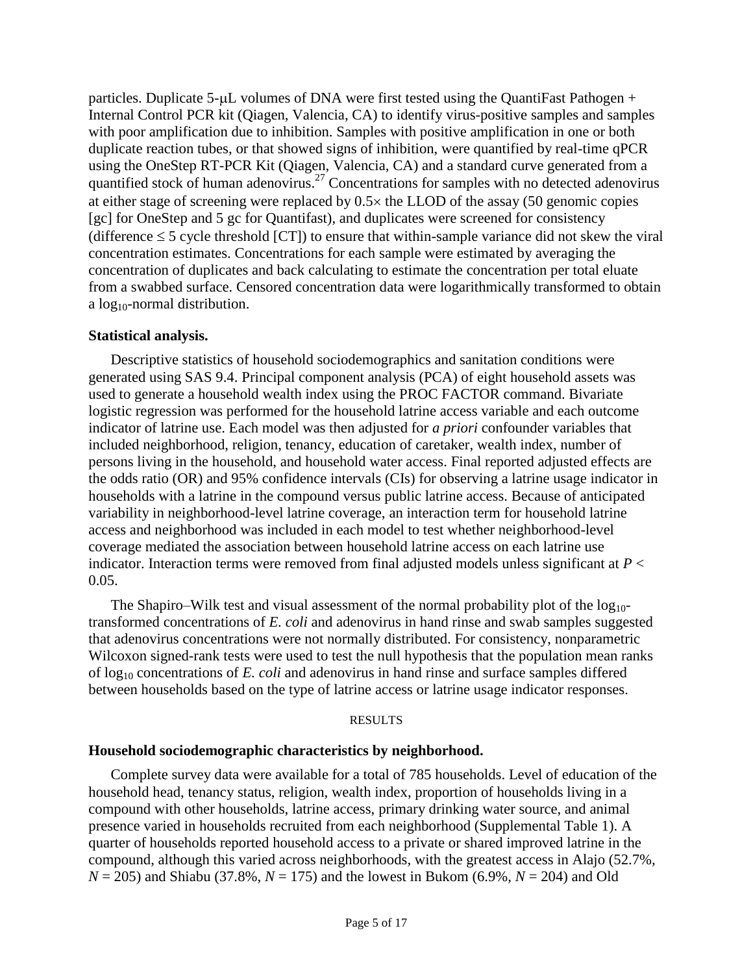particles. Duplicate  $5-\mu L$  volumes of DNA were first tested using the QuantiFast Pathogen + Internal Control PCR kit (Qiagen, Valencia, CA) to identify virus-positive samples and samples with poor amplification due to inhibition. Samples with positive amplification in one or both duplicate reaction tubes, or that showed signs of inhibition, were quantified by real-time qPCR using the OneStep RT-PCR Kit (Qiagen, Valencia, CA) and a standard curve generated from a quantified stock of human adenovirus.<sup>27</sup> Concentrations for samples with no detected adenovirus at either stage of screening were replaced by  $0.5 \times$  the LLOD of the assay (50 genomic copies [gc] for OneStep and 5 gc for Quantifast), and duplicates were screened for consistency (difference  $\leq$  5 cycle threshold [CT]) to ensure that within-sample variance did not skew the viral concentration estimates. Concentrations for each sample were estimated by averaging the concentration of duplicates and back calculating to estimate the concentration per total eluate from a swabbed surface. Censored concentration data were logarithmically transformed to obtain a  $log_{10}$ -normal distribution.

## **Statistical analysis.**

Descriptive statistics of household sociodemographics and sanitation conditions were generated using SAS 9.4. Principal component analysis (PCA) of eight household assets was used to generate a household wealth index using the PROC FACTOR command. Bivariate logistic regression was performed for the household latrine access variable and each outcome indicator of latrine use. Each model was then adjusted for *a priori* confounder variables that included neighborhood, religion, tenancy, education of caretaker, wealth index, number of persons living in the household, and household water access. Final reported adjusted effects are the odds ratio (OR) and 95% confidence intervals (CIs) for observing a latrine usage indicator in households with a latrine in the compound versus public latrine access. Because of anticipated variability in neighborhood-level latrine coverage, an interaction term for household latrine access and neighborhood was included in each model to test whether neighborhood-level coverage mediated the association between household latrine access on each latrine use indicator. Interaction terms were removed from final adjusted models unless significant at *P* < 0.05.

The Shapiro–Wilk test and visual assessment of the normal probability plot of the  $log_{10}$ transformed concentrations of *E. coli* and adenovirus in hand rinse and swab samples suggested that adenovirus concentrations were not normally distributed. For consistency, nonparametric Wilcoxon signed-rank tests were used to test the null hypothesis that the population mean ranks of log<sup>10</sup> concentrations of *E. coli* and adenovirus in hand rinse and surface samples differed between households based on the type of latrine access or latrine usage indicator responses.

#### **RESULTS**

# **Household sociodemographic characteristics by neighborhood.**

Complete survey data were available for a total of 785 households. Level of education of the household head, tenancy status, religion, wealth index, proportion of households living in a compound with other households, latrine access, primary drinking water source, and animal presence varied in households recruited from each neighborhood (Supplemental Table 1). A quarter of households reported household access to a private or shared improved latrine in the compound, although this varied across neighborhoods, with the greatest access in Alajo (52.7%,  $N = 205$ ) and Shiabu (37.8%,  $N = 175$ ) and the lowest in Bukom (6.9%,  $N = 204$ ) and Old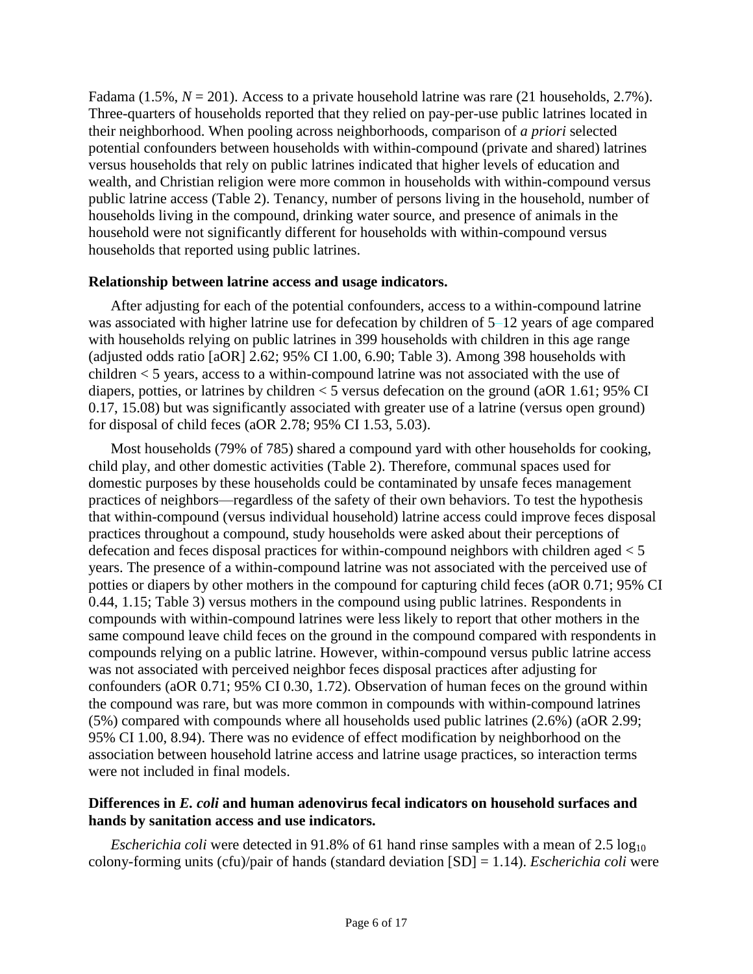Fadama (1.5%,  $N = 201$ ). Access to a private household latrine was rare (21 households, 2.7%). Three-quarters of households reported that they relied on pay-per-use public latrines located in their neighborhood. When pooling across neighborhoods, comparison of *a priori* selected potential confounders between households with within-compound (private and shared) latrines versus households that rely on public latrines indicated that higher levels of education and wealth, and Christian religion were more common in households with within-compound versus public latrine access (Table 2). Tenancy, number of persons living in the household, number of households living in the compound, drinking water source, and presence of animals in the household were not significantly different for households with within-compound versus households that reported using public latrines.

# **Relationship between latrine access and usage indicators.**

After adjusting for each of the potential confounders, access to a within-compound latrine was associated with higher latrine use for defecation by children of 5–12 years of age compared with households relying on public latrines in 399 households with children in this age range (adjusted odds ratio [aOR] 2.62; 95% CI 1.00, 6.90; Table 3). Among 398 households with children < 5 years, access to a within-compound latrine was not associated with the use of diapers, potties, or latrines by children < 5 versus defecation on the ground (aOR 1.61; 95% CI 0.17, 15.08) but was significantly associated with greater use of a latrine (versus open ground) for disposal of child feces (aOR 2.78; 95% CI 1.53, 5.03).

Most households (79% of 785) shared a compound yard with other households for cooking, child play, and other domestic activities (Table 2). Therefore, communal spaces used for domestic purposes by these households could be contaminated by unsafe feces management practices of neighbors—regardless of the safety of their own behaviors. To test the hypothesis that within-compound (versus individual household) latrine access could improve feces disposal practices throughout a compound, study households were asked about their perceptions of defecation and feces disposal practices for within-compound neighbors with children aged < 5 years. The presence of a within-compound latrine was not associated with the perceived use of potties or diapers by other mothers in the compound for capturing child feces (aOR 0.71; 95% CI 0.44, 1.15; Table 3) versus mothers in the compound using public latrines. Respondents in compounds with within-compound latrines were less likely to report that other mothers in the same compound leave child feces on the ground in the compound compared with respondents in compounds relying on a public latrine. However, within-compound versus public latrine access was not associated with perceived neighbor feces disposal practices after adjusting for confounders (aOR 0.71; 95% CI 0.30, 1.72). Observation of human feces on the ground within the compound was rare, but was more common in compounds with within-compound latrines (5%) compared with compounds where all households used public latrines (2.6%) (aOR 2.99; 95% CI 1.00, 8.94). There was no evidence of effect modification by neighborhood on the association between household latrine access and latrine usage practices, so interaction terms were not included in final models.

# **Differences in** *E. coli* **and human adenovirus fecal indicators on household surfaces and hands by sanitation access and use indicators.**

*Escherichia coli* were detected in 91.8% of 61 hand rinse samples with a mean of 2.5 log<sub>10</sub> colony-forming units (cfu)/pair of hands (standard deviation [SD] = 1.14). *Escherichia coli* were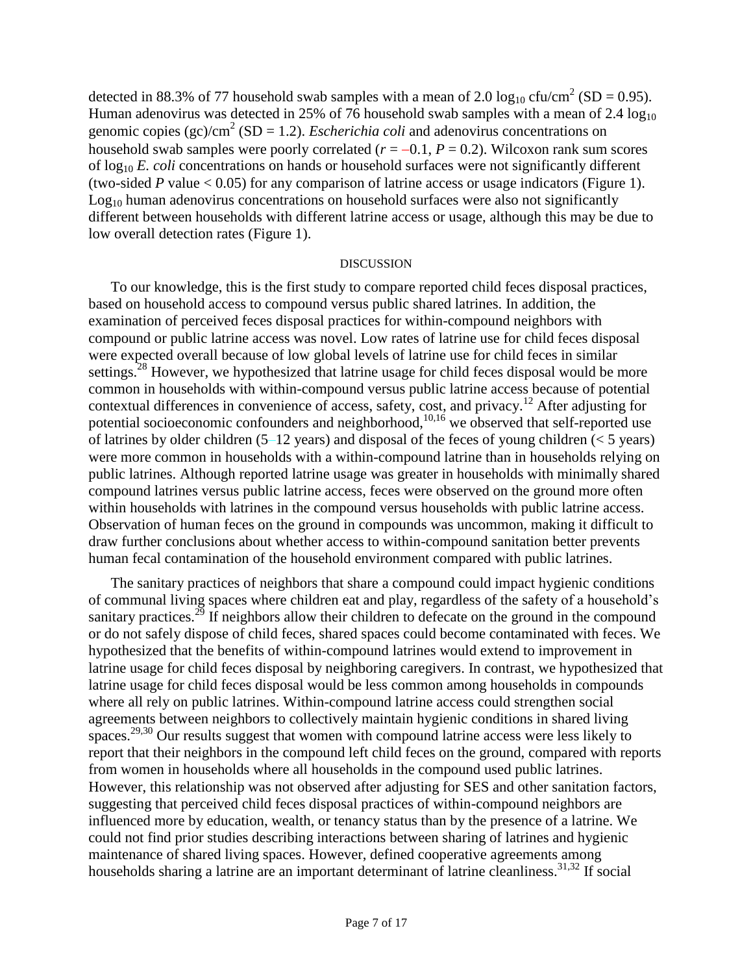detected in 88.3% of 77 household swab samples with a mean of 2.0  $log_{10}$  cfu/cm<sup>2</sup> (SD = 0.95). Human adenovirus was detected in 25% of 76 household swab samples with a mean of 2.4  $log_{10}$ genomic copies  $(gc)/cm^2$  (SD = 1.2). *Escherichia coli* and adenovirus concentrations on household swab samples were poorly correlated  $(r = -0.1, P = 0.2)$ . Wilcoxon rank sum scores of log<sup>10</sup> *E. coli* concentrations on hands or household surfaces were not significantly different (two-sided *P* value  $< 0.05$ ) for any comparison of latrine access or usage indicators (Figure 1).  $Log<sub>10</sub>$  human adenovirus concentrations on household surfaces were also not significantly different between households with different latrine access or usage, although this may be due to low overall detection rates (Figure 1).

### DISCUSSION

To our knowledge, this is the first study to compare reported child feces disposal practices, based on household access to compound versus public shared latrines. In addition, the examination of perceived feces disposal practices for within-compound neighbors with compound or public latrine access was novel. Low rates of latrine use for child feces disposal were expected overall because of low global levels of latrine use for child feces in similar settings.<sup>28</sup> However, we hypothesized that latrine usage for child feces disposal would be more common in households with within-compound versus public latrine access because of potential contextual differences in convenience of access, safety, cost, and privacy.<sup>12</sup> After adjusting for potential socioeconomic confounders and neighborhood,<sup>10,16</sup> we observed that self-reported use of latrines by older children  $(5-12 \text{ years})$  and disposal of the feces of young children  $(< 5 \text{ years})$ were more common in households with a within-compound latrine than in households relying on public latrines. Although reported latrine usage was greater in households with minimally shared compound latrines versus public latrine access, feces were observed on the ground more often within households with latrines in the compound versus households with public latrine access. Observation of human feces on the ground in compounds was uncommon, making it difficult to draw further conclusions about whether access to within-compound sanitation better prevents human fecal contamination of the household environment compared with public latrines.

The sanitary practices of neighbors that share a compound could impact hygienic conditions of communal living spaces where children eat and play, regardless of the safety of a household's sanitary practices.<sup>29</sup> If neighbors allow their children to defecate on the ground in the compound or do not safely dispose of child feces, shared spaces could become contaminated with feces. We hypothesized that the benefits of within-compound latrines would extend to improvement in latrine usage for child feces disposal by neighboring caregivers. In contrast, we hypothesized that latrine usage for child feces disposal would be less common among households in compounds where all rely on public latrines. Within-compound latrine access could strengthen social agreements between neighbors to collectively maintain hygienic conditions in shared living spaces.<sup>29,30</sup> Our results suggest that women with compound latrine access were less likely to report that their neighbors in the compound left child feces on the ground, compared with reports from women in households where all households in the compound used public latrines. However, this relationship was not observed after adjusting for SES and other sanitation factors, suggesting that perceived child feces disposal practices of within-compound neighbors are influenced more by education, wealth, or tenancy status than by the presence of a latrine. We could not find prior studies describing interactions between sharing of latrines and hygienic maintenance of shared living spaces. However, defined cooperative agreements among households sharing a latrine are an important determinant of latrine cleanliness.<sup>31,32</sup> If social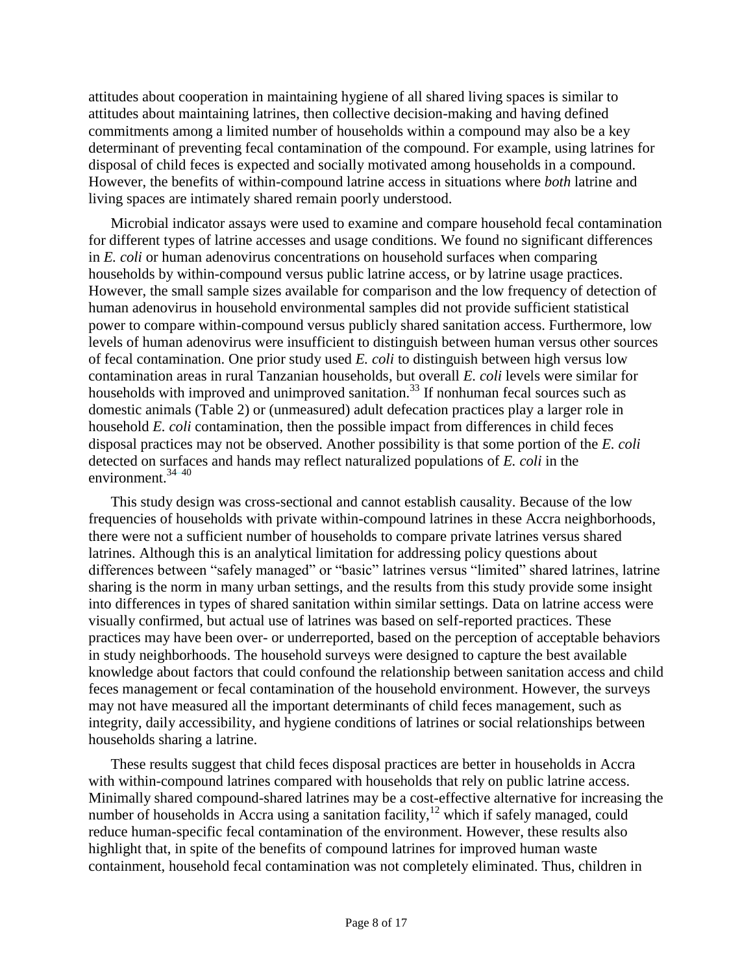attitudes about cooperation in maintaining hygiene of all shared living spaces is similar to attitudes about maintaining latrines, then collective decision-making and having defined commitments among a limited number of households within a compound may also be a key determinant of preventing fecal contamination of the compound. For example, using latrines for disposal of child feces is expected and socially motivated among households in a compound. However, the benefits of within-compound latrine access in situations where *both* latrine and living spaces are intimately shared remain poorly understood.

Microbial indicator assays were used to examine and compare household fecal contamination for different types of latrine accesses and usage conditions. We found no significant differences in *E. coli* or human adenovirus concentrations on household surfaces when comparing households by within-compound versus public latrine access, or by latrine usage practices. However, the small sample sizes available for comparison and the low frequency of detection of human adenovirus in household environmental samples did not provide sufficient statistical power to compare within-compound versus publicly shared sanitation access. Furthermore, low levels of human adenovirus were insufficient to distinguish between human versus other sources of fecal contamination. One prior study used *E. coli* to distinguish between high versus low contamination areas in rural Tanzanian households, but overall *E. coli* levels were similar for households with improved and unimproved sanitation.<sup>33</sup> If nonhuman fecal sources such as domestic animals (Table 2) or (unmeasured) adult defecation practices play a larger role in household *E. coli* contamination, then the possible impact from differences in child feces disposal practices may not be observed. Another possibility is that some portion of the *E. coli* detected on surfaces and hands may reflect naturalized populations of *E. coli* in the environment.34–40

This study design was cross-sectional and cannot establish causality. Because of the low frequencies of households with private within-compound latrines in these Accra neighborhoods, there were not a sufficient number of households to compare private latrines versus shared latrines. Although this is an analytical limitation for addressing policy questions about differences between "safely managed" or "basic" latrines versus "limited" shared latrines, latrine sharing is the norm in many urban settings, and the results from this study provide some insight into differences in types of shared sanitation within similar settings. Data on latrine access were visually confirmed, but actual use of latrines was based on self-reported practices. These practices may have been over- or underreported, based on the perception of acceptable behaviors in study neighborhoods. The household surveys were designed to capture the best available knowledge about factors that could confound the relationship between sanitation access and child feces management or fecal contamination of the household environment. However, the surveys may not have measured all the important determinants of child feces management, such as integrity, daily accessibility, and hygiene conditions of latrines or social relationships between households sharing a latrine.

These results suggest that child feces disposal practices are better in households in Accra with within-compound latrines compared with households that rely on public latrine access. Minimally shared compound-shared latrines may be a cost-effective alternative for increasing the number of households in Accra using a sanitation facility, $12$  which if safely managed, could reduce human-specific fecal contamination of the environment. However, these results also highlight that, in spite of the benefits of compound latrines for improved human waste containment, household fecal contamination was not completely eliminated. Thus, children in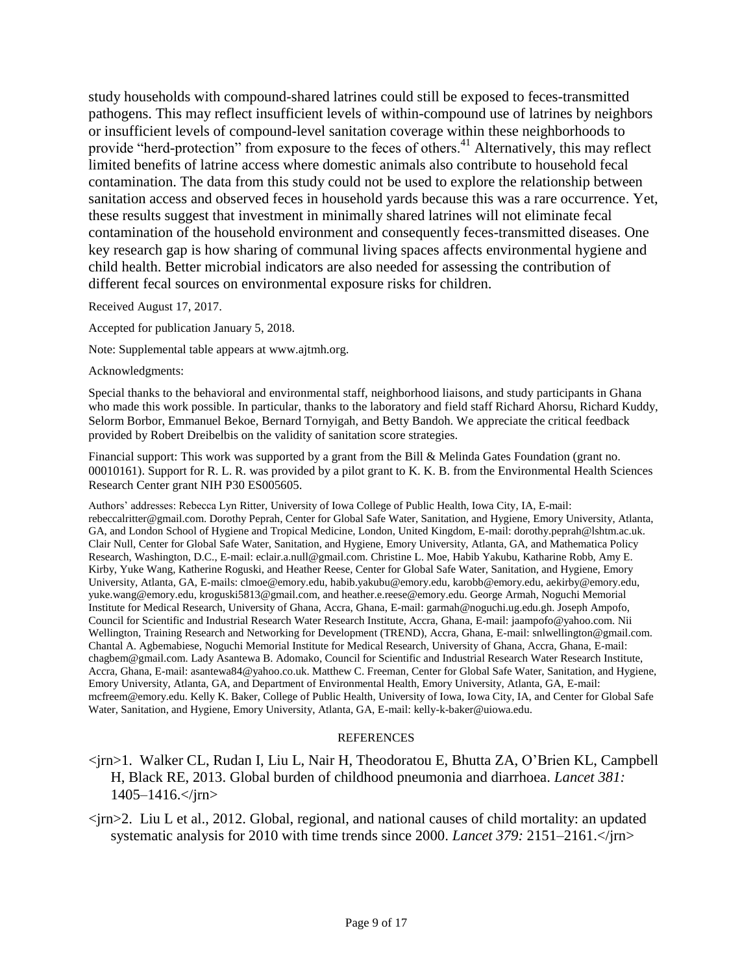study households with compound-shared latrines could still be exposed to feces-transmitted pathogens. This may reflect insufficient levels of within-compound use of latrines by neighbors or insufficient levels of compound-level sanitation coverage within these neighborhoods to provide "herd-protection" from exposure to the feces of others.<sup>41</sup> Alternatively, this may reflect limited benefits of latrine access where domestic animals also contribute to household fecal contamination. The data from this study could not be used to explore the relationship between sanitation access and observed feces in household yards because this was a rare occurrence. Yet, these results suggest that investment in minimally shared latrines will not eliminate fecal contamination of the household environment and consequently feces-transmitted diseases. One key research gap is how sharing of communal living spaces affects environmental hygiene and child health. Better microbial indicators are also needed for assessing the contribution of different fecal sources on environmental exposure risks for children.

Received August 17, 2017.

Accepted for publication January 5, 2018.

Note: Supplemental table appears at www.ajtmh.org.

Acknowledgments:

Special thanks to the behavioral and environmental staff, neighborhood liaisons, and study participants in Ghana who made this work possible. In particular, thanks to the laboratory and field staff Richard Ahorsu, Richard Kuddy, Selorm Borbor, Emmanuel Bekoe, Bernard Tornyigah, and Betty Bandoh. We appreciate the critical feedback provided by Robert Dreibelbis on the validity of sanitation score strategies.

Financial support: This work was supported by a grant from the Bill & Melinda Gates Foundation (grant no. 00010161). Support for R. L. R. was provided by a pilot grant to K. K. B. from the Environmental Health Sciences Research Center grant NIH P30 ES005605.

Authors' addresses: Rebecca Lyn Ritter, University of Iowa College of Public Health, Iowa City, IA, E-mail: rebeccalritter@gmail.com. Dorothy Peprah, Center for Global Safe Water, Sanitation, and Hygiene, Emory University, Atlanta, GA, and London School of Hygiene and Tropical Medicine, London, United Kingdom, E-mail: dorothy.peprah@lshtm.ac.uk. Clair Null, Center for Global Safe Water, Sanitation, and Hygiene, Emory University, Atlanta, GA, and Mathematica Policy Research, Washington, D.C., E-mail: eclair.a.null@gmail.com. Christine L. Moe, Habib Yakubu, Katharine Robb, Amy E. Kirby, Yuke Wang, Katherine Roguski, and Heather Reese, Center for Global Safe Water, Sanitation, and Hygiene, Emory University, Atlanta, GA, E-mails: clmoe@emory.edu, habib.yakubu@emory.edu, karobb@emory.edu, aekirby@emory.edu, yuke.wang@emory.edu, kroguski5813@gmail.com, and heather.e.reese@emory.edu. George Armah, Noguchi Memorial Institute for Medical Research, University of Ghana, Accra, Ghana, E-mail: garmah@noguchi.ug.edu.gh. Joseph Ampofo, Council for Scientific and Industrial Research Water Research Institute, Accra, Ghana, E-mail: jaampofo@yahoo.com. Nii Wellington, Training Research and Networking for Development (TREND), Accra, Ghana, E-mail: snlwellington@gmail.com. Chantal A. Agbemabiese, Noguchi Memorial Institute for Medical Research, University of Ghana, Accra, Ghana, E-mail: chagbem@gmail.com. Lady Asantewa B. Adomako, Council for Scientific and Industrial Research Water Research Institute, Accra, Ghana, E-mail: asantewa84@yahoo.co.uk. Matthew C. Freeman, Center for Global Safe Water, Sanitation, and Hygiene, Emory University, Atlanta, GA, and Department of Environmental Health, Emory University, Atlanta, GA, E-mail: mcfreem@emory.edu. Kelly K. Baker, College of Public Health, University of Iowa, Iowa City, IA, and Center for Global Safe Water, Sanitation, and Hygiene, Emory University, Atlanta, GA, E-mail: kelly-k-baker@uiowa.edu.

#### **REFERENCES**

- <jrn>1. Walker CL, Rudan I, Liu L, Nair H, Theodoratou E, Bhutta ZA, O'Brien KL, Campbell H, Black RE, 2013. Global burden of childhood pneumonia and diarrhoea. *Lancet 381:*  $1405 - 1416$ .  $\text{cm}$
- $\langle$ irn>2. Liu L et al., 2012. Global, regional, and national causes of child mortality: an updated systematic analysis for 2010 with time trends since 2000. *Lancet 379:* 2151–2161.</jrn>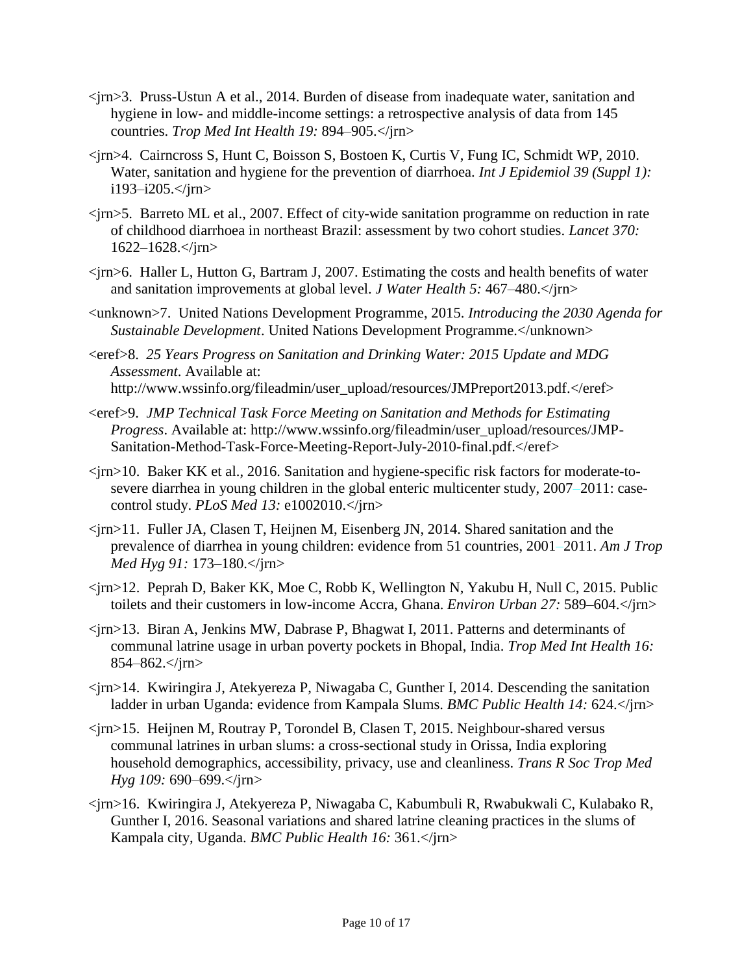- <jrn>3. Pruss-Ustun A et al., 2014. Burden of disease from inadequate water, sanitation and hygiene in low- and middle-income settings: a retrospective analysis of data from 145 countries. *Trop Med Int Health 19:* 894–905.</jrn>
- <jrn>4. Cairncross S, Hunt C, Boisson S, Bostoen K, Curtis V, Fung IC, Schmidt WP, 2010. Water, sanitation and hygiene for the prevention of diarrhoea. *Int J Epidemiol 39 (Suppl 1):* i193–i205.</jrn>
- $\langle$ irn>5. Barreto ML et al., 2007. Effect of city-wide sanitation programme on reduction in rate of childhood diarrhoea in northeast Brazil: assessment by two cohort studies. *Lancet 370:* 1622–1628.</jrn>
- $\langle$ irn>6. Haller L, Hutton G, Bartram J, 2007. Estimating the costs and health benefits of water and sanitation improvements at global level. *J Water Health 5:* 467–480.</jrn>
- <unknown>7. United Nations Development Programme, 2015. *Introducing the 2030 Agenda for Sustainable Development*. United Nations Development Programme.</unknown>
- <eref>8. *25 Years Progress on Sanitation and Drinking Water: 2015 Update and MDG Assessment*. Available at: http://www.wssinfo.org/fileadmin/user\_upload/resources/JMPreport2013.pdf.</eref>
- <eref>9. *JMP Technical Task Force Meeting on Sanitation and Methods for Estimating Progress*. Available at: http://www.wssinfo.org/fileadmin/user\_upload/resources/JMP-Sanitation-Method-Task-Force-Meeting-Report-July-2010-final.pdf.</eref>
- <jrn>10. Baker KK et al., 2016. Sanitation and hygiene-specific risk factors for moderate-tosevere diarrhea in young children in the global enteric multicenter study, 2007–2011: casecontrol study. *PLoS Med 13:* e1002010.</jrn>
- $\langle \text{im} \rangle$ 11. Fuller JA, Clasen T, Heijnen M, Eisenberg JN, 2014. Shared sanitation and the prevalence of diarrhea in young children: evidence from 51 countries, 2001–2011. *Am J Trop Med Hyg 91:* 173–180.</jrn>
- <jrn>12. Peprah D, Baker KK, Moe C, Robb K, Wellington N, Yakubu H, Null C, 2015. Public toilets and their customers in low-income Accra, Ghana. *Environ Urban 27:* 589–604.</jrn>
- <jrn>13. Biran A, Jenkins MW, Dabrase P, Bhagwat I, 2011. Patterns and determinants of communal latrine usage in urban poverty pockets in Bhopal, India. *Trop Med Int Health 16:* 854–862.</jrn>
- <jrn>14. Kwiringira J, Atekyereza P, Niwagaba C, Gunther I, 2014. Descending the sanitation ladder in urban Uganda: evidence from Kampala Slums. *BMC Public Health 14:* 624.</jrn>
- <jrn>15. Heijnen M, Routray P, Torondel B, Clasen T, 2015. Neighbour-shared versus communal latrines in urban slums: a cross-sectional study in Orissa, India exploring household demographics, accessibility, privacy, use and cleanliness. *Trans R Soc Trop Med Hyg 109:* 690–699.</jrn>
- <jrn>16. Kwiringira J, Atekyereza P, Niwagaba C, Kabumbuli R, Rwabukwali C, Kulabako R, Gunther I, 2016. Seasonal variations and shared latrine cleaning practices in the slums of Kampala city, Uganda. *BMC Public Health 16:* 361.</jrn>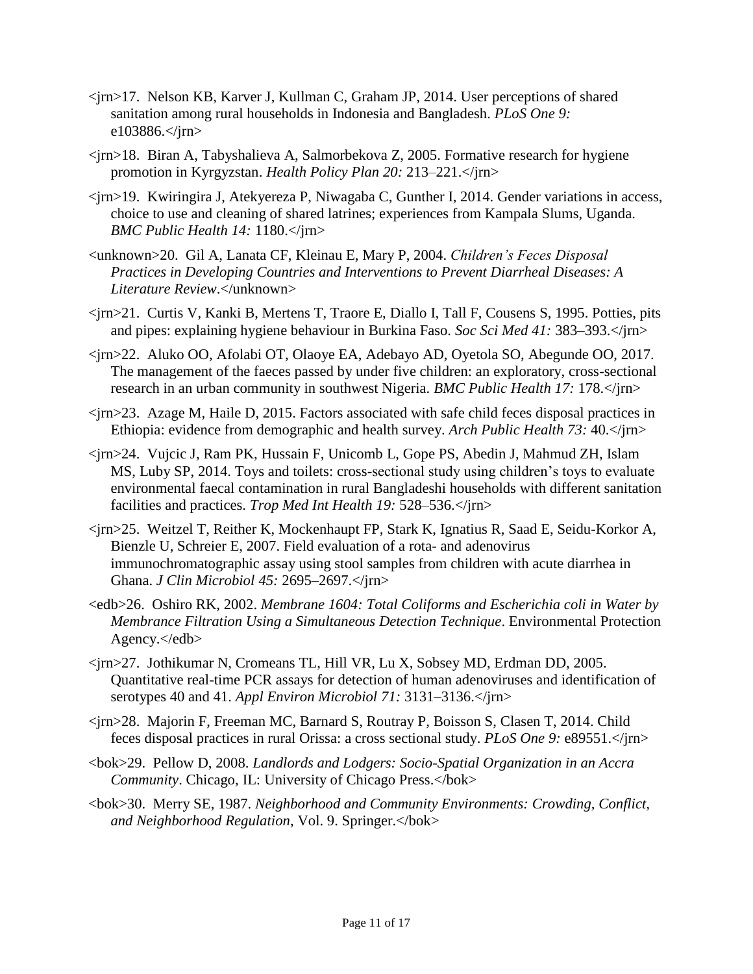- <jrn>17. Nelson KB, Karver J, Kullman C, Graham JP, 2014. User perceptions of shared sanitation among rural households in Indonesia and Bangladesh. *PLoS One 9:* e103886.</jrn>
- $\langle$ jrn>18. Biran A, Tabyshalieva A, Salmorbekova Z, 2005. Formative research for hygiene promotion in Kyrgyzstan. *Health Policy Plan 20:* 213–221.</jrn>
- <jrn>19. Kwiringira J, Atekyereza P, Niwagaba C, Gunther I, 2014. Gender variations in access, choice to use and cleaning of shared latrines; experiences from Kampala Slums, Uganda. *BMC Public Health 14:* 1180.</jrn>
- <unknown>20. Gil A, Lanata CF, Kleinau E, Mary P, 2004. *Children's Feces Disposal Practices in Developing Countries and Interventions to Prevent Diarrheal Diseases: A Literature Review*.</unknown>
- <jrn>21. Curtis V, Kanki B, Mertens T, Traore E, Diallo I, Tall F, Cousens S, 1995. Potties, pits and pipes: explaining hygiene behaviour in Burkina Faso. *Soc Sci Med 41:* 383–393.</jrn>
- <jrn>22. Aluko OO, Afolabi OT, Olaoye EA, Adebayo AD, Oyetola SO, Abegunde OO, 2017. The management of the faeces passed by under five children: an exploratory, cross-sectional research in an urban community in southwest Nigeria. *BMC Public Health 17:* 178.</jrn>
- <jrn>23. Azage M, Haile D, 2015. Factors associated with safe child feces disposal practices in Ethiopia: evidence from demographic and health survey. *Arch Public Health 73:* 40.</jrn>
- <jrn>24. Vujcic J, Ram PK, Hussain F, Unicomb L, Gope PS, Abedin J, Mahmud ZH, Islam MS, Luby SP, 2014. Toys and toilets: cross-sectional study using children's toys to evaluate environmental faecal contamination in rural Bangladeshi households with different sanitation facilities and practices. *Trop Med Int Health 19:* 528–536.</jrn>
- <jrn>25. Weitzel T, Reither K, Mockenhaupt FP, Stark K, Ignatius R, Saad E, Seidu-Korkor A, Bienzle U, Schreier E, 2007. Field evaluation of a rota- and adenovirus immunochromatographic assay using stool samples from children with acute diarrhea in Ghana. *J Clin Microbiol 45:* 2695–2697.</jrn>
- $\le$ edb>26. Oshiro RK, 2002. *Membrane 1604: Total Coliforms and Escherichia coli in Water by Membrance Filtration Using a Simultaneous Detection Technique*. Environmental Protection Agency.</edb>
- <jrn>27. Jothikumar N, Cromeans TL, Hill VR, Lu X, Sobsey MD, Erdman DD, 2005. Quantitative real-time PCR assays for detection of human adenoviruses and identification of serotypes 40 and 41. *Appl Environ Microbiol 71:* 3131–3136.</jrn>
- <jrn>28. Majorin F, Freeman MC, Barnard S, Routray P, Boisson S, Clasen T, 2014. Child feces disposal practices in rural Orissa: a cross sectional study. *PLoS One 9:* e89551.</jrn>
- <bok>29. Pellow D, 2008. *Landlords and Lodgers: Socio-Spatial Organization in an Accra Community*. Chicago, IL: University of Chicago Press.</bok>
- <bok>30. Merry SE, 1987. *Neighborhood and Community Environments: Crowding, Conflict, and Neighborhood Regulation*, Vol. 9. Springer.</bok>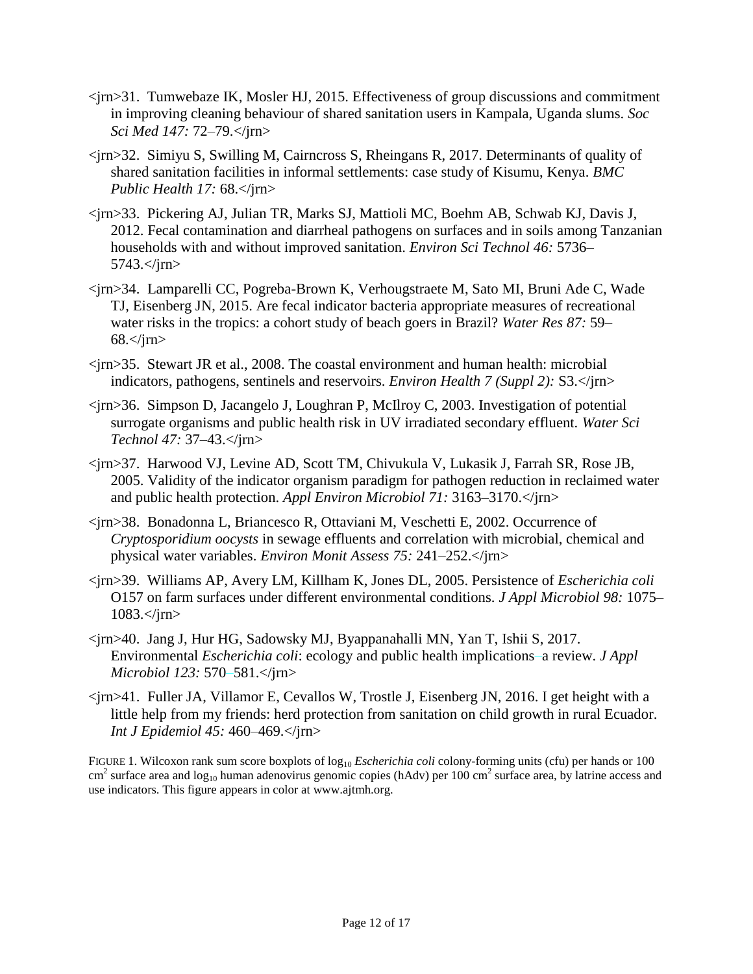- <jrn>31. Tumwebaze IK, Mosler HJ, 2015. Effectiveness of group discussions and commitment in improving cleaning behaviour of shared sanitation users in Kampala, Uganda slums. *Soc Sci Med 147:* 72–79.</jrn>
- <jrn>32. Simiyu S, Swilling M, Cairncross S, Rheingans R, 2017. Determinants of quality of shared sanitation facilities in informal settlements: case study of Kisumu, Kenya. *BMC Public Health 17:* 68.</jrn>
- <jrn>33. Pickering AJ, Julian TR, Marks SJ, Mattioli MC, Boehm AB, Schwab KJ, Davis J, 2012. Fecal contamination and diarrheal pathogens on surfaces and in soils among Tanzanian households with and without improved sanitation. *Environ Sci Technol 46:* 5736– 5743.</jrn>
- <jrn>34. Lamparelli CC, Pogreba-Brown K, Verhougstraete M, Sato MI, Bruni Ade C, Wade TJ, Eisenberg JN, 2015. Are fecal indicator bacteria appropriate measures of recreational water risks in the tropics: a cohort study of beach goers in Brazil? *Water Res 87:* 59–  $68 <$ /jm $>$
- <jrn>35. Stewart JR et al., 2008. The coastal environment and human health: microbial indicators, pathogens, sentinels and reservoirs. *Environ Health 7 (Suppl 2):* S3.</jrn>
- <jrn>36. Simpson D, Jacangelo J, Loughran P, McIlroy C, 2003. Investigation of potential surrogate organisms and public health risk in UV irradiated secondary effluent. *Water Sci Technol 47:* 37–43.</jrn>
- <jrn>37. Harwood VJ, Levine AD, Scott TM, Chivukula V, Lukasik J, Farrah SR, Rose JB, 2005. Validity of the indicator organism paradigm for pathogen reduction in reclaimed water and public health protection. *Appl Environ Microbiol 71:* 3163–3170.</jrn>
- <jrn>38. Bonadonna L, Briancesco R, Ottaviani M, Veschetti E, 2002. Occurrence of *Cryptosporidium oocysts* in sewage effluents and correlation with microbial, chemical and physical water variables. *Environ Monit Assess 75:* 241–252.</jrn>
- <jrn>39. Williams AP, Avery LM, Killham K, Jones DL, 2005. Persistence of *Escherichia coli* O157 on farm surfaces under different environmental conditions. *J Appl Microbiol 98:* 1075– 1083.</jrn>
- <jrn>40. Jang J, Hur HG, Sadowsky MJ, Byappanahalli MN, Yan T, Ishii S, 2017. Environmental *Escherichia coli*: ecology and public health implications–a review. *J Appl Microbiol 123:* 570–581.</jrn>
- <jrn>41. Fuller JA, Villamor E, Cevallos W, Trostle J, Eisenberg JN, 2016. I get height with a little help from my friends: herd protection from sanitation on child growth in rural Ecuador. *Int J Epidemiol 45:* 460–469.</jrn>

FIGURE 1. Wilcoxon rank sum score boxplots of log<sub>10</sub> *Escherichia coli* colony-forming units (cfu) per hands or 100  $\text{cm}^2$  surface area and log<sub>10</sub> human adenovirus genomic copies (hAdv) per 100 cm<sup>2</sup> surface area, by latrine access and use indicators. This figure appears in color at www.ajtmh.org.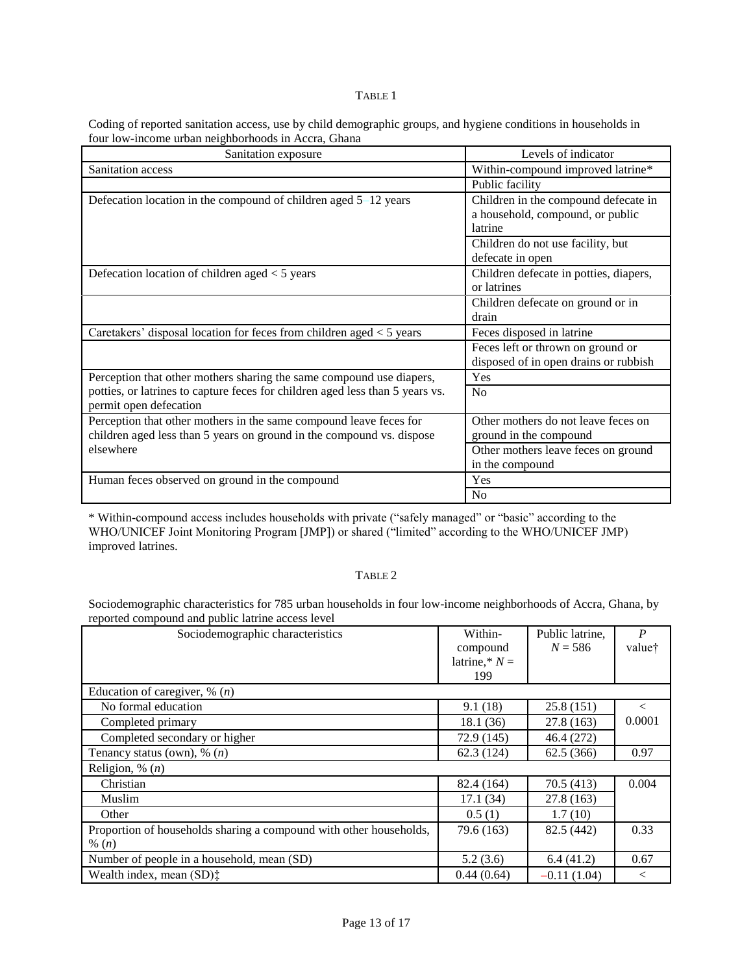#### TABLE 1

Coding of reported sanitation access, use by child demographic groups, and hygiene conditions in households in four low-income urban neighborhoods in Accra, Ghana

| Sanitation exposure                                                                                                                         | Levels of indicator                                                                 |
|---------------------------------------------------------------------------------------------------------------------------------------------|-------------------------------------------------------------------------------------|
| Sanitation access                                                                                                                           | Within-compound improved latrine*                                                   |
|                                                                                                                                             | Public facility                                                                     |
| Defecation location in the compound of children aged $5-12$ years                                                                           | Children in the compound defecate in<br>a household, compound, or public<br>latrine |
|                                                                                                                                             | Children do not use facility, but<br>defecate in open                               |
| Defecation location of children aged $<$ 5 years                                                                                            | Children defecate in potties, diapers,<br>or latrines                               |
|                                                                                                                                             | Children defecate on ground or in<br>drain                                          |
| Caretakers' disposal location for feces from children aged $<$ 5 years                                                                      | Feces disposed in latrine                                                           |
|                                                                                                                                             | Feces left or thrown on ground or<br>disposed of in open drains or rubbish          |
| Perception that other mothers sharing the same compound use diapers,                                                                        | Yes                                                                                 |
| potties, or latrines to capture feces for children aged less than 5 years vs.<br>permit open defecation                                     | No                                                                                  |
| Perception that other mothers in the same compound leave feces for<br>children aged less than 5 years on ground in the compound vs. dispose | Other mothers do not leave feces on<br>ground in the compound                       |
| elsewhere                                                                                                                                   | Other mothers leave feces on ground<br>in the compound                              |
| Human feces observed on ground in the compound                                                                                              | Yes                                                                                 |
|                                                                                                                                             | No                                                                                  |

\* Within-compound access includes households with private ("safely managed" or "basic" according to the WHO/UNICEF Joint Monitoring Program [JMP]) or shared ("limited" according to the WHO/UNICEF JMP) improved latrines.

## TABLE 2

Sociodemographic characteristics for 785 urban households in four low-income neighborhoods of Accra, Ghana, by reported compound and public latrine access level

| Sociodemographic characteristics                                   | Within-         | Public latrine, | $\boldsymbol{P}$ |
|--------------------------------------------------------------------|-----------------|-----------------|------------------|
|                                                                    | compound        | $N = 586$       | value†           |
|                                                                    | latrine,* $N =$ |                 |                  |
|                                                                    | 199             |                 |                  |
| Education of caregiver, $\%$ ( <i>n</i> )                          |                 |                 |                  |
| No formal education                                                | 9.1(18)         | 25.8(151)       | $\,<\,$          |
| Completed primary                                                  | 18.1(36)        | 27.8(163)       | 0.0001           |
| Completed secondary or higher                                      | 72.9 (145)      | 46.4 (272)      |                  |
| Tenancy status (own), $\%$ ( <i>n</i> )                            | 62.3(124)       | 62.5(366)       | 0.97             |
| Religion, % $(n)$                                                  |                 |                 |                  |
| Christian                                                          | 82.4 (164)      | 70.5(413)       | 0.004            |
| Muslim                                                             | 17.1(34)        | 27.8(163)       |                  |
| Other                                                              | 0.5(1)          | 1.7(10)         |                  |
| Proportion of households sharing a compound with other households, | 79.6 (163)      | 82.5 (442)      | 0.33             |
| % $(n)$                                                            |                 |                 |                  |
| Number of people in a household, mean (SD)                         | 5.2(3.6)        | 6.4(41.2)       | 0.67             |
| Wealth index, mean $(SD)$ :                                        | 0.44(0.64)      | $-0.11(1.04)$   | $\,<\,$          |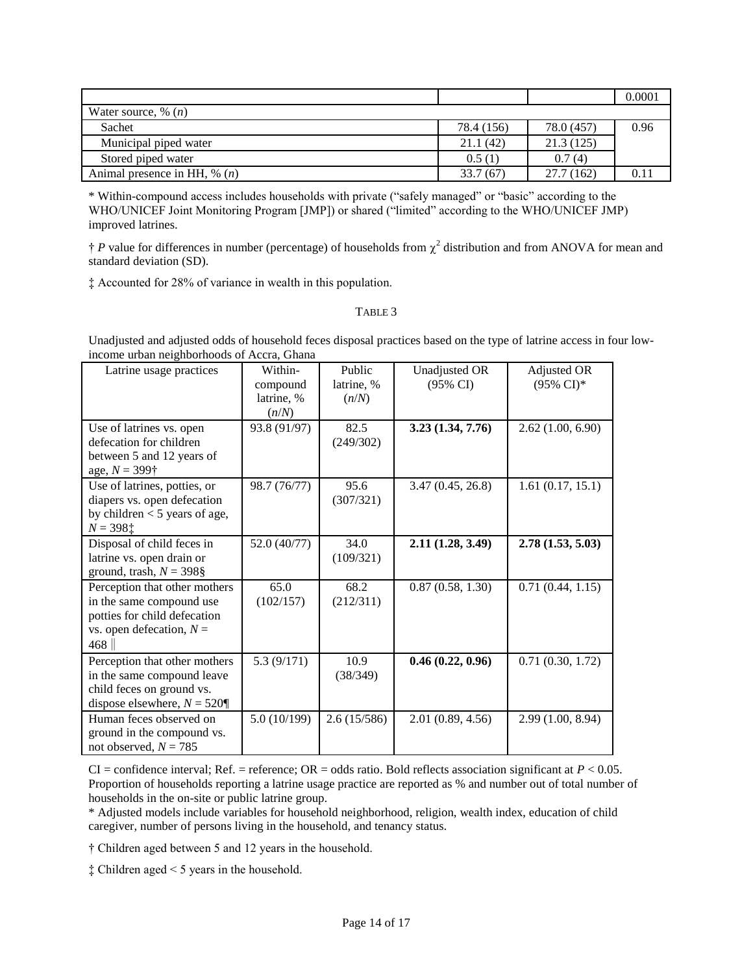|                                          |            |            | 0.0001 |
|------------------------------------------|------------|------------|--------|
| Water source, % $(n)$                    |            |            |        |
| Sachet                                   | 78.4 (156) | 78.0 (457) | 0.96   |
| Municipal piped water                    | 21.1(42)   | 21.3(125)  |        |
| Stored piped water                       | 0.5(1)     | 0.7(4)     |        |
| Animal presence in HH, $\%$ ( <i>n</i> ) | 33.7(67)   | 27.7(162)  | 0.1    |

\* Within-compound access includes households with private ("safely managed" or "basic" according to the WHO/UNICEF Joint Monitoring Program [JMP]) or shared ("limited" according to the WHO/UNICEF JMP) improved latrines.

 $\dagger$  *P* value for differences in number (percentage) of households from  $\chi^2$  distribution and from ANOVA for mean and standard deviation (SD).

‡ Accounted for 28% of variance in wealth in this population.

#### TABLE 3

Unadjusted and adjusted odds of household feces disposal practices based on the type of latrine access in four lowincome urban neighborhoods of Accra, Ghana

| Latrine usage practices                                                                                                        | Within-<br>compound<br>latrine, %<br>(n/N) | Public<br>latrine, %<br>(n/N) | Unadjusted OR<br>(95% CI) | Adjusted OR<br>$(95\% \text{ CI})^*$ |
|--------------------------------------------------------------------------------------------------------------------------------|--------------------------------------------|-------------------------------|---------------------------|--------------------------------------|
| Use of latrines vs. open<br>defecation for children<br>between 5 and 12 years of<br>age, $N = 399\dagger$                      | 93.8 (91/97)                               | 82.5<br>(249/302)             | 3.23(1.34, 7.76)          | 2.62(1.00, 6.90)                     |
| Use of latrines, potties, or<br>diapers vs. open defecation<br>by children $<$ 5 years of age,<br>$N = 398$ ‡                  | 98.7 (76/77)                               | 95.6<br>(307/321)             | 3.47(0.45, 26.8)          | 1.61(0.17, 15.1)                     |
| Disposal of child feces in<br>latrine vs. open drain or<br>ground, trash, $N = 398$ §                                          | 52.0 (40/77)                               | 34.0<br>(109/321)             | 2.11 (1.28, 3.49)         | 2.78(1.53, 5.03)                     |
| Perception that other mothers<br>in the same compound use<br>potties for child defecation<br>vs. open defecation, $N =$<br>468 | 65.0<br>(102/157)                          | 68.2<br>(212/311)             | 0.87(0.58, 1.30)          | 0.71(0.44, 1.15)                     |
| Perception that other mothers<br>in the same compound leave<br>child feces on ground vs.<br>dispose elsewhere, $N = 520$       | 5.3(9/171)                                 | 10.9<br>(38/349)              | 0.46(0.22, 0.96)          | 0.71(0.30, 1.72)                     |
| Human feces observed on<br>ground in the compound vs.<br>not observed, $N = 785$                                               | 5.0(10/199)                                | 2.6(15/586)                   | 2.01(0.89, 4.56)          | 2.99 (1.00, 8.94)                    |

CI = confidence interval; Ref. = reference; OR = odds ratio. Bold reflects association significant at  $P < 0.05$ . Proportion of households reporting a latrine usage practice are reported as % and number out of total number of households in the on-site or public latrine group.

\* Adjusted models include variables for household neighborhood, religion, wealth index, education of child caregiver, number of persons living in the household, and tenancy status.

† Children aged between 5 and 12 years in the household.

‡ Children aged < 5 years in the household.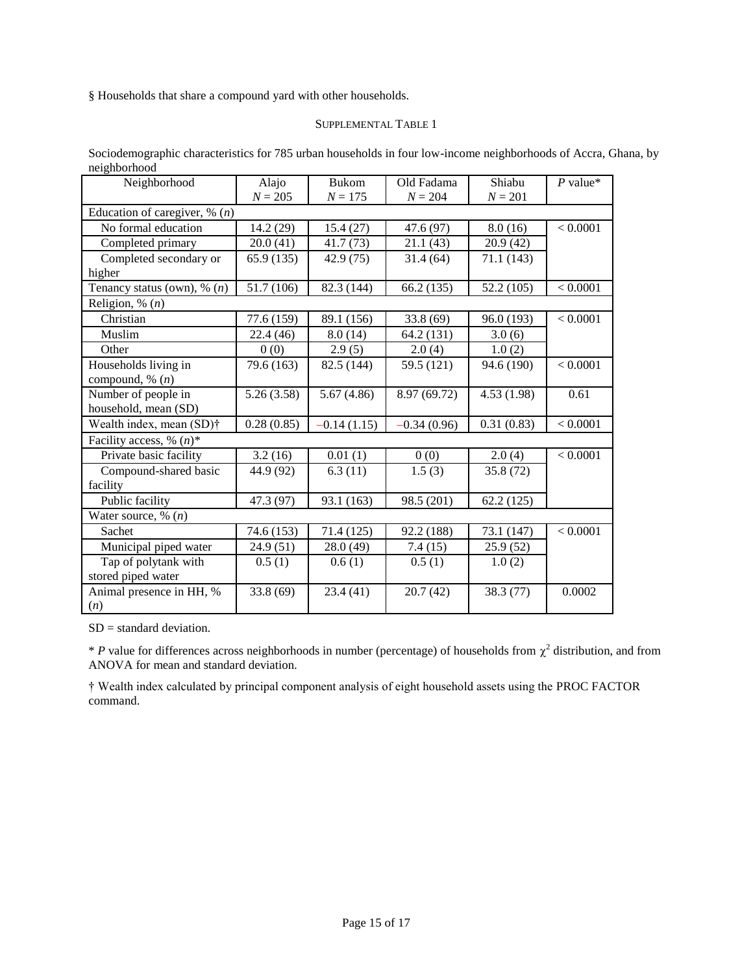§ Households that share a compound yard with other households.

#### SUPPLEMENTAL TABLE 1

Sociodemographic characteristics for 785 urban households in four low-income neighborhoods of Accra, Ghana, by neighborhood

| Neighborhood                              | Alajo      | <b>Bukom</b>  | Old Fadama    | Shiabu     | $P$ value* |
|-------------------------------------------|------------|---------------|---------------|------------|------------|
|                                           | $N = 205$  | $N = 175$     | $N = 204$     | $N = 201$  |            |
| Education of caregiver, $\%$ ( <i>n</i> ) |            |               |               |            |            |
| No formal education                       | 14.2 (29)  | 15.4(27)      | 47.6 (97)     | 8.0(16)    | < 0.0001   |
| Completed primary                         | 20.0(41)   | 41.7(73)      | 21.1(43)      | 20.9(42)   |            |
| Completed secondary or                    | 65.9 (135) | 42.9 (75)     | 31.4(64)      | 71.1 (143) |            |
| higher                                    |            |               |               |            |            |
| Tenancy status (own), $\%$ ( <i>n</i> )   | 51.7 (106) | 82.3 (144)    | 66.2(135)     | 52.2 (105) | < 0.0001   |
| Religion, % $(n)$                         |            |               |               |            |            |
| Christian                                 | 77.6 (159) | 89.1 (156)    | 33.8 (69)     | 96.0 (193) | < 0.0001   |
| Muslim                                    | 22.4 (46)  | 8.0(14)       | 64.2 (131)    | 3.0(6)     |            |
| Other                                     | 0(0)       | 2.9(5)        | 2.0(4)        | 1.0(2)     |            |
| Households living in                      | 79.6 (163) | 82.5 (144)    | 59.5 (121)    | 94.6 (190) | < 0.0001   |
| compound, $\%$ $(n)$                      |            |               |               |            |            |
| Number of people in                       | 5.26(3.58) | 5.67(4.86)    | 8.97 (69.72)  | 4.53(1.98) | 0.61       |
| household, mean (SD)                      |            |               |               |            |            |
| Wealth index, mean (SD)†                  | 0.28(0.85) | $-0.14(1.15)$ | $-0.34(0.96)$ | 0.31(0.83) | < 0.0001   |
| Facility access, % $(n)$ <sup>*</sup>     |            |               |               |            |            |
| Private basic facility                    | 3.2(16)    | 0.01(1)       | 0(0)          | 2.0(4)     | < 0.0001   |
| Compound-shared basic                     | 44.9 (92)  | 6.3(11)       | 1.5(3)        | 35.8 (72)  |            |
| facility                                  |            |               |               |            |            |
| Public facility                           | 47.3 (97)  | 93.1 (163)    | 98.5 (201)    | 62.2(125)  |            |
| Water source, $\%$ (n)                    |            |               |               |            |            |
| Sachet                                    | 74.6 (153) | 71.4 (125)    | 92.2 (188)    | 73.1 (147) | < 0.0001   |
| Municipal piped water                     | 24.9 (51)  | 28.0 (49)     | 7.4(15)       | 25.9 (52)  |            |
| Tap of polytank with                      | 0.5(1)     | 0.6(1)        | 0.5(1)        | 1.0(2)     |            |
| stored piped water                        |            |               |               |            |            |
| Animal presence in HH, %                  | 33.8(69)   | 23.4(41)      | 20.7(42)      | 38.3(77)   | 0.0002     |
| (n)                                       |            |               |               |            |            |

SD = standard deviation.

 $*$  *P* value for differences across neighborhoods in number (percentage) of households from  $\chi^2$  distribution, and from ANOVA for mean and standard deviation.

† Wealth index calculated by principal component analysis of eight household assets using the PROC FACTOR command.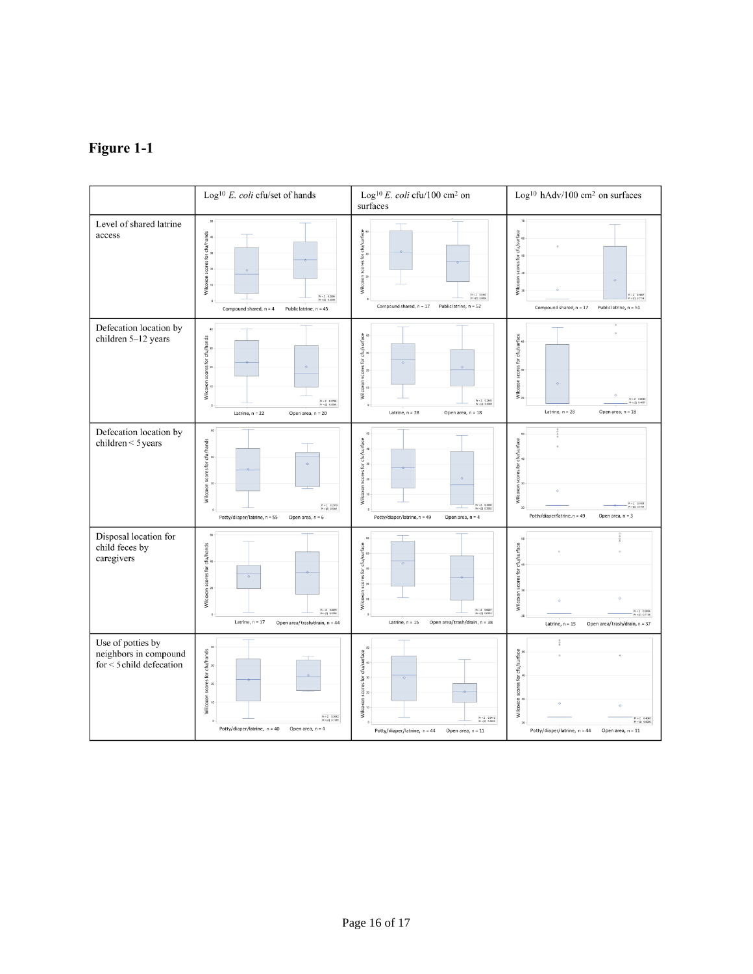# **Figure 1-1**

|                                                                        | $\mbox{Log}^{10}$ $E.$<br>$\mbox{coli}$ cfu/set of hands                                                                                                                                                 | Log <sup>10</sup> E. coli cfu/100 cm <sup>2</sup> on<br>surfaces                                                                                                           | Log <sup>10</sup> hAdv/100 cm <sup>2</sup> on surfaces                                                                                                                         |
|------------------------------------------------------------------------|----------------------------------------------------------------------------------------------------------------------------------------------------------------------------------------------------------|----------------------------------------------------------------------------------------------------------------------------------------------------------------------------|--------------------------------------------------------------------------------------------------------------------------------------------------------------------------------|
| Level of shared latrine<br>access                                      | Wilcoxon scores for cfu/hands<br>$\frac{u}{2}$<br>$\ddot{\circ}$<br>$Pr < Z$ 0.2004<br>$Pr >  Z $ 0.4009<br>Compound shared, n = 4<br>Public latrine, n = 45                                             | scores for cfu/surface<br>a<br>Wilcoxon s<br>$Pr > 2$ 0.0402<br>Public latrine, n = 52<br>Compound shared, $n = 17$                                                        | cfu/surface<br>Wilcoxon scores for<br>$\frac{\pi}{n}$<br>Compound shared, n = 17<br>Public latrine, n = 51                                                                     |
| Defecation location by<br>children 5-12 years                          | 40<br>Wilcoxon scores for cfu/hands<br>$\frac{8}{5}$<br>$\ddot{\circ}$<br>Pr < Z 0.2700<br>Pr > IZI 0.5539<br>Latrine, $n = 22$<br>Open area, n = 20                                                     | Wilcoxon scores for cfu/surface<br>$\bullet$<br>$Pr = 2$ 0.2641<br>$Pr =  2 $ 0.5282<br>Latrine, $n = 28$<br>Open area, n = 18                                             | Wilcoxon scores for cfu/surface<br>$\ddot{\circ}$<br>Latrine, $n = 28$<br>Open area, n = 18                                                                                    |
| Defecation location by<br>children < $5$ years                         | 60<br>Wilcoxon scores for cfu/hands<br>40<br>$\overline{\mathbf{z}}$<br>Pr > 2 0.2970<br>Pr > (2) 0.5941<br>Potty/diaper/latrine, n = 55<br>Open area, $n = 6$                                           | scores for cfu/surface<br>Wilcoxon<br>$\times$ Z 0.1996<br>$\times$ IZI 0.3992<br>Potty/diaper/latrine, n = 49<br>Open area, $n = 4$                                       | $\overline{\mathbf{x}}$<br>Wilcoxon scores for cfu/surface<br>Ar < 2 0.1891<br>Ar > jil 0.3701<br>Potty/diaper/latrine, n = 49<br>Open area, n = 3                             |
| Disposal location for<br>child feces by<br>caregivers                  | $\overline{66}$<br>Wilcoxon scores for cfu/hands<br>$\ddot{\phantom{1}}$<br>$\begin{array}{ll} p_T < Z & 0.2870 \\ p_T >  Z  & 0.5356 \end{array}$<br>Latrine, $n = 17$<br>Open area/trash/drain, n = 44 | Wilcoxon scores for cfu/surface<br>$\begin{array}{ll} p_{7} \succ 2 & 0.0257 \\ p_{7} \succ 12 & 0.0515 \end{array}$<br>Latrine, $n = 15$<br>Open area/trash/drain, n = 38 | 50<br>Wilcoxon scores for cfu/surface<br>Latrine, $n = 15$<br>Open area/trash/drain, n = 37                                                                                    |
| Use of potties by<br>neighbors in compound<br>for < 5 child defecation | Wilcoxon scores for cfu/hands<br>20<br>$\begin{array}{ll} p_{\rm f} > 2 & 0.3642 \\ p_{\rm f} >  2  & 0.7285 \end{array}$<br>Potty/diaper/latrine, n = 40<br>Open area, $n = 4$                          | Wilcoxon scores for cfu/surface<br>a<br>a<br>a<br>a<br>$Pr \times 2 = 0.0412$<br>$Pr \times  2  = 0.0825$<br>Potty/diaper/latrine, n = 44<br>Open area, n = 11             | Wilcoxon scores for cfu/surface<br>$\begin{array}{ll} p_T < 2 & 0.4045 \\ p_T >  I  & 0.8090 \end{array}$<br>$\mathbf{z}$<br>Potty/diaper/latrine, n = 44<br>Open area, n = 11 |